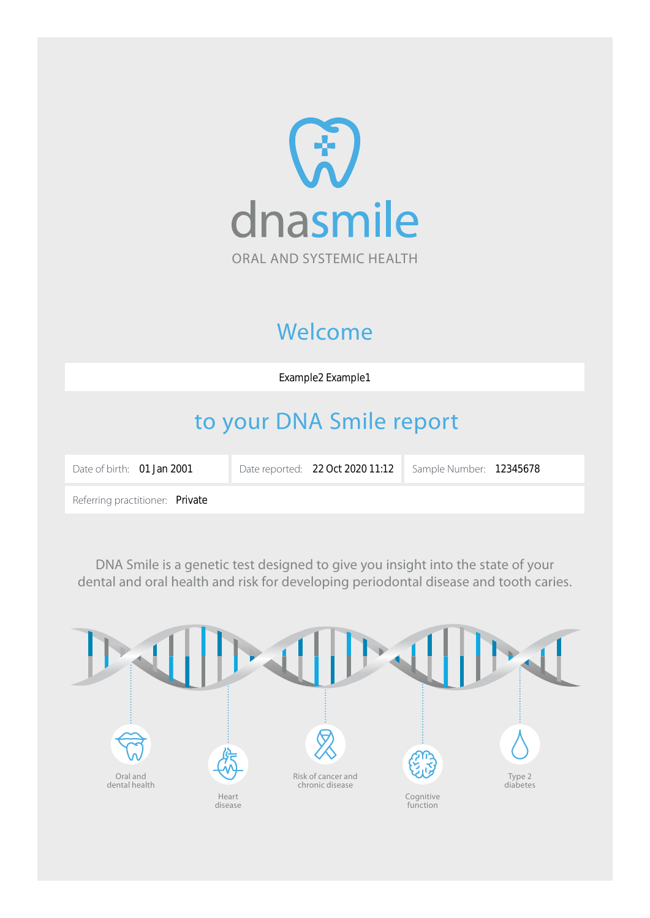

# Welcome

Example2 Example1

# to your DNA Smile report

| Date of birth: <b>01 Jan 2001</b> | Date reported: 22 Oct 2020 11:12 | Sample Number: 12345678 |  |
|-----------------------------------|----------------------------------|-------------------------|--|
| Referring practitioner: Private   |                                  |                         |  |

DNA Smile is a genetic test designed to give you insight into the state of your dental and oral health and risk for developing periodontal disease and tooth caries.

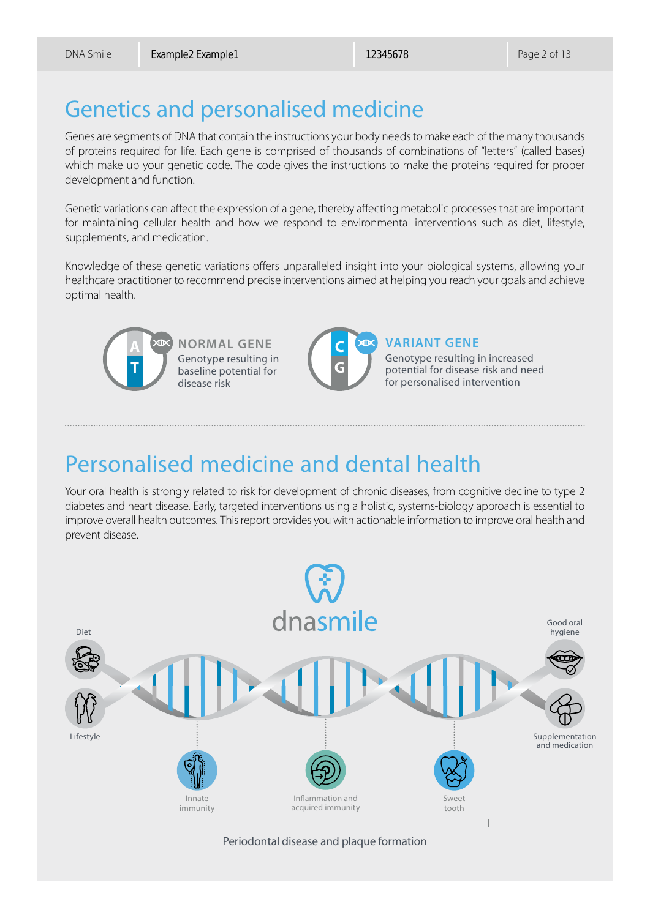# Genetics and personalised medicine

Genes are segments of DNA that contain the instructions your body needs to make each of the many thousands of proteins required for life. Each gene is comprised of thousands of combinations of "letters" (called bases) which make up your genetic code. The code gives the instructions to make the proteins required for proper development and function.

Genetic variations can affect the expression of a gene, thereby affecting metabolic processes that are important for maintaining cellular health and how we respond to environmental interventions such as diet, lifestyle, supplements, and medication.

Knowledge of these genetic variations offers unparalleled insight into your biological systems, allowing your healthcare practitioner to recommend precise interventions aimed at helping you reach your goals and achieve optimal health.



**NORMAL GENE** Genotype resulting in baseline potential for disease risk



#### **VARIANT GENE**

Genotype resulting in increased potential for disease risk and need for personalised intervention

# Personalised medicine and dental health

Your oral health is strongly related to risk for development of chronic diseases, from cognitive decline to type 2 diabetes and heart disease. Early, targeted interventions using a holistic, systems-biology approach is essential to improve overall health outcomes. This report provides you with actionable information to improve oral health and prevent disease.



Periodontal disease and plaque formation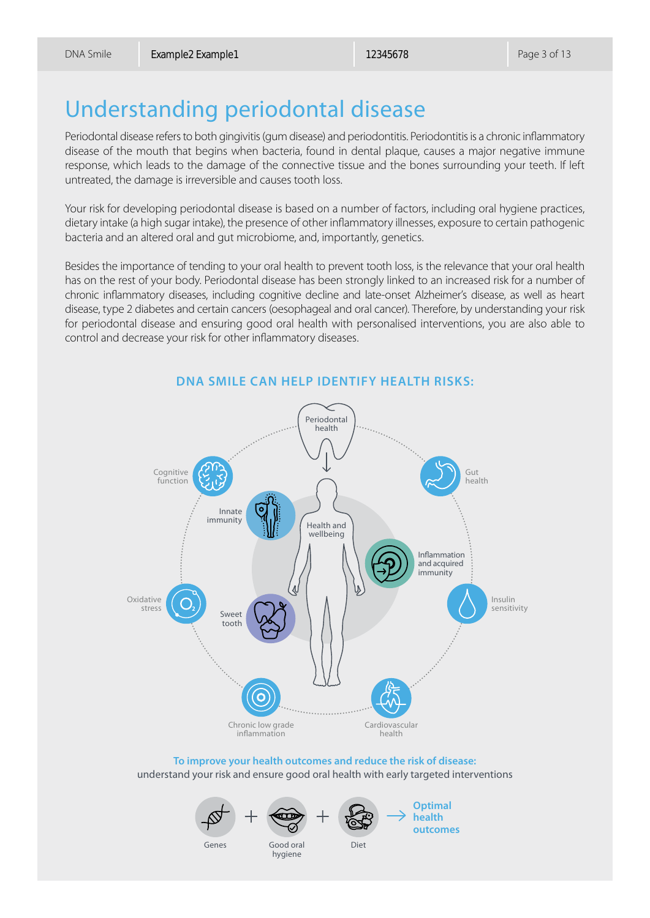# Understanding periodontal disease

Periodontal disease refers to both gingivitis (gum disease) and periodontitis. Periodontitis is a chronic inflammatory disease of the mouth that begins when bacteria, found in dental plaque, causes a major negative immune response, which leads to the damage of the connective tissue and the bones surrounding your teeth. If left untreated, the damage is irreversible and causes tooth loss.

Your risk for developing periodontal disease is based on a number of factors, including oral hygiene practices, dietary intake (a high sugar intake), the presence of other inflammatory illnesses, exposure to certain pathogenic bacteria and an altered oral and gut microbiome, and, importantly, genetics.

Besides the importance of tending to your oral health to prevent tooth loss, is the relevance that your oral health has on the rest of your body. Periodontal disease has been strongly linked to an increased risk for a number of chronic inflammatory diseases, including cognitive decline and late-onset Alzheimer's disease, as well as heart disease, type 2 diabetes and certain cancers (oesophageal and oral cancer). Therefore, by understanding your risk for periodontal disease and ensuring good oral health with personalised interventions, you are also able to control and decrease your risk for other inflammatory diseases.



**DNA SMILE CAN HELP IDENTIFY HEALTH RISKS:**

**To improve your health outcomes and reduce the risk of disease:** understand your risk and ensure good oral health with early targeted interventions





**Optimal health outcomes**

Genes

Good oral Diet hygiene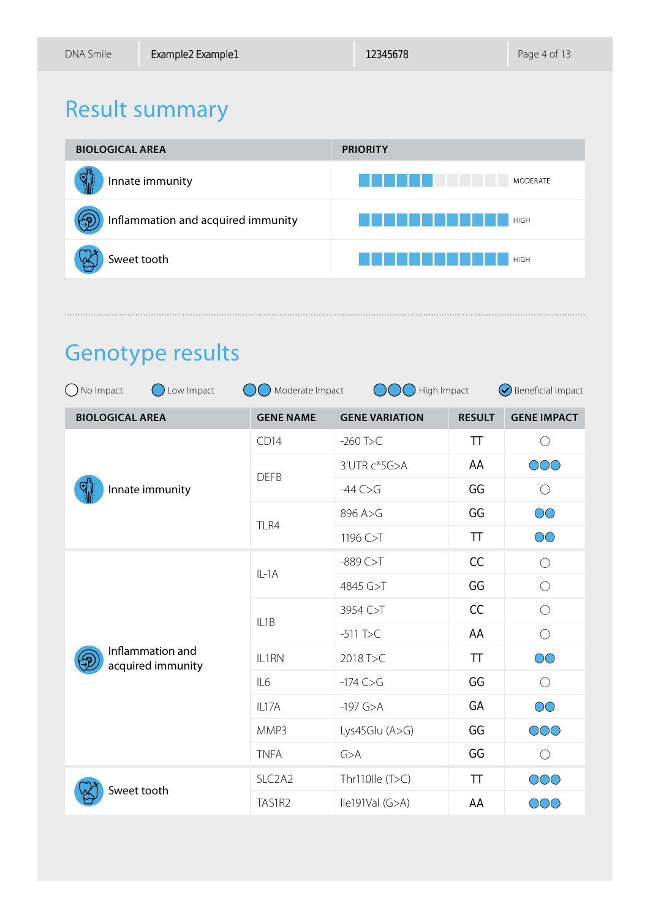# Result summary



# Genotype results

| ( ) No Impact<br>Low Impact           | Moderate Impact<br>High Impact  |                       |               | $\odot$ Beneficial Impact |
|---------------------------------------|---------------------------------|-----------------------|---------------|---------------------------|
| <b>BIOLOGICAL AREA</b>                | <b>GENE NAME</b>                | <b>GENE VARIATION</b> | <b>RESULT</b> | <b>GENE IMPACT</b>        |
| Innate immunity                       | CD14                            | $-260$ T>C            | TT            | $\bigcirc$                |
|                                       | <b>DEFB</b>                     | 3'UTR c*5G>A          | AA            | OOO                       |
|                                       |                                 | $-44C>6$              | GG            | $\bigcirc$                |
|                                       | TLR4                            | 896 A>G               | GG            | $\circlearrowright$       |
|                                       |                                 | 1196 C>T              | TT            | $\circlearrowright$       |
| Inflammation and<br>acquired immunity | $IL-1A$                         | $-889C > T$           | CC            | $\bigcirc$                |
|                                       |                                 | 4845 G>T              | GG            | $\bigcirc$                |
|                                       | IL <sub>1</sub> B               | 3954 C>T              | CC            | $\bigcirc$                |
|                                       |                                 | $-511$ T>C            | AA            | $\bigcirc$                |
|                                       | IL1RN                           | 2018 T>C              | <b>TT</b>     | $\circlearrowright$       |
|                                       | IL6                             | $-174$ C $>$ G        | GG            | $\bigcirc$                |
|                                       | IL17A                           | $-197$ G>A            | GA            | $\overline{\text{OO}}$    |
|                                       | MMP3                            | Lys45Glu $(A>G)$      | GG            | OOO                       |
|                                       | <b>TNFA</b>                     | G>A                   | GG            | $\bigcirc$                |
| Sweet tooth                           | SLC <sub>2</sub> A <sub>2</sub> | Thr110lle $(T>C)$     | TT            | $\circledcirc$            |
|                                       | TAS1R2                          | lle191Val (G>A)       | AA            | OOO                       |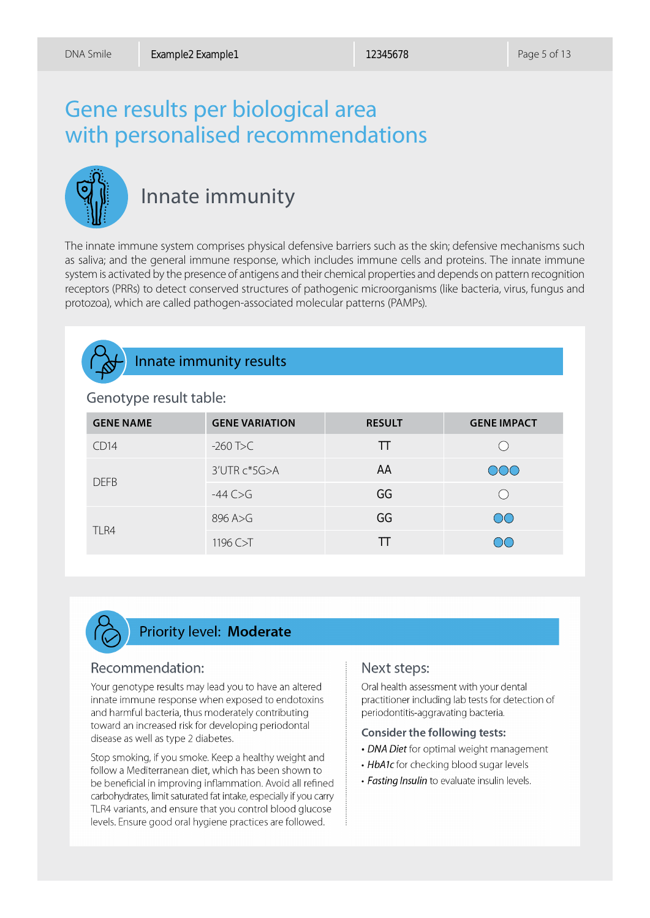# Gene results per biological area with personalised recommendations



## Innate immunity

The innate immune system comprises physical defensive barriers such as the skin; defensive mechanisms such as saliva; and the general immune response, which includes immune cells and proteins. The innate immune system is activated by the presence of antigens and their chemical properties and depends on pattern recognition receptors (PRRs) to detect conserved structures of pathogenic microorganisms (like bacteria, virus, fungus and protozoa), which are called pathogen-associated molecular patterns (PAMPs).



#### Innate immunity results

#### Genotype result table:

| <b>GENE NAME</b> | <b>GENE VARIATION</b> | <b>RESULT</b> | <b>GENE IMPACT</b> |
|------------------|-----------------------|---------------|--------------------|
| CD14             | $-260$ T>C            | TT            |                    |
| <b>DEFB</b>      | 3'UTR c*5G>A          | AA            | OOO                |
|                  | $-44C > G$            | GG            |                    |
| TLR4             | 896 A>G               | GG            | $\overline{O}O$    |
|                  | 1196 C>T              |               | $\bigcirc$         |



#### **Priority level: Moderate**

#### Recommendation:

Your genotype results may lead you to have an altered innate immune response when exposed to endotoxins and harmful bacteria, thus moderately contributing toward an increased risk for developing periodontal disease as well as type 2 diabetes.

Stop smoking, if you smoke. Keep a healthy weight and follow a Mediterranean diet, which has been shown to be beneficial in improving inflammation. Avoid all refined carbohydrates, limit saturated fat intake, especially if you carry TLR4 variants, and ensure that you control blood glucose levels. Ensure good oral hygiene practices are followed.

#### Next steps:

Oral health assessment with your dental practitioner including lab tests for detection of periodontitis-aggravating bacteria.

#### **Consider the following tests:**

- DNA Diet for optimal weight management
- HbA1c for checking blood sugar levels
- · Fasting Insulin to evaluate insulin levels.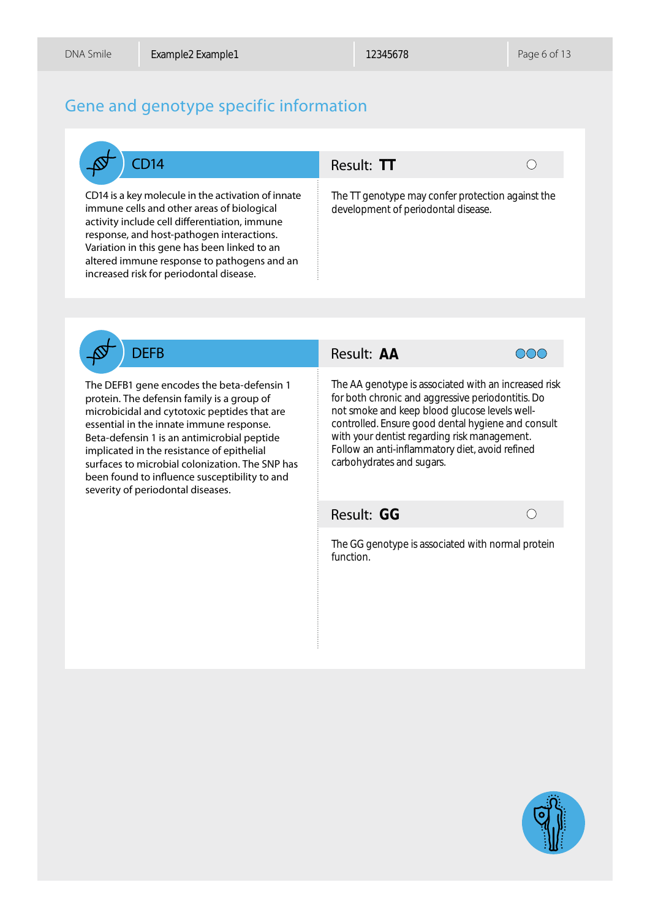#### Gene and genotype specific information



CD14 is a key molecule in the activation of innate immune cells and other areas of biological activity include cell differentiation, immune response, and host-pathogen interactions. Variation in this gene has been linked to an altered immune response to pathogens and an increased risk for periodontal disease.

#### CD14 Result: TT



The TT genotype may confer protection against the development of periodontal disease.



The DEFB1 gene encodes the beta-defensin 1 protein. The defensin family is a group of microbicidal and cytotoxic peptides that are essential in the innate immune response. Beta-defensin 1 is an antimicrobial peptide implicated in the resistance of epithelial surfaces to microbial colonization. The SNP has been found to influence susceptibility to and severity of periodontal diseases.

#### Result: AA



**TT**<br>
notyp<br>
ent o<br> **AA**<br>
notypronid<br>
and Ensu<br>
tens<br>
and Ensu<br> **GG** The AA genotype is associated with an increased risk for both chronic and aggressive periodontitis. Do not smoke and keep blood glucose levels wellcontrolled. Ensure good dental hygiene and consult with your dentist regarding risk management. Follow an anti-inflammatory diet, avoid refined carbohydrates and sugars.

#### Result: GG

 $\bigcap$ 

The GG genotype is associated with normal protein function.

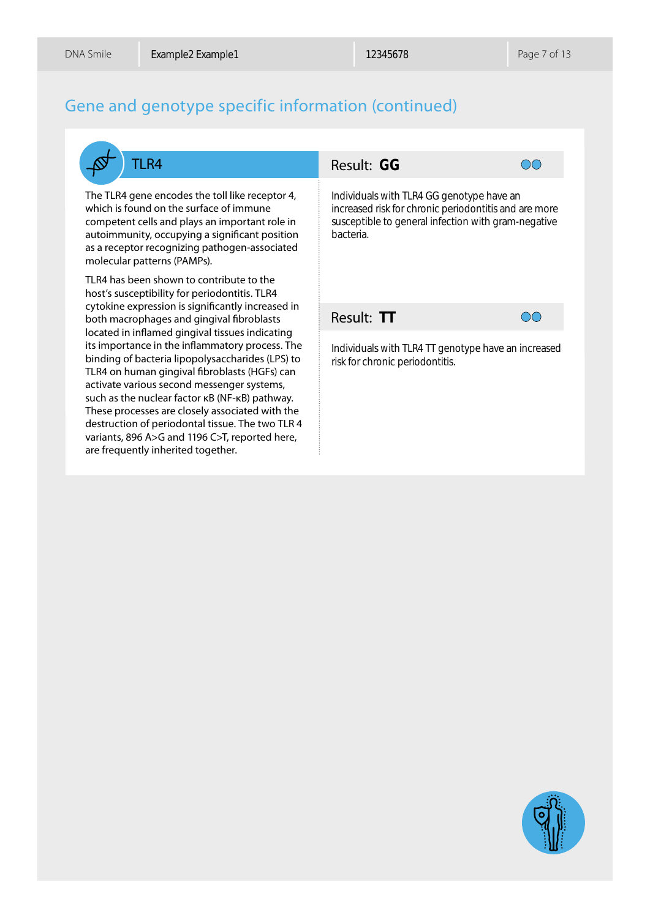These processes are closely associated with the destruction of periodontal tissue. The two TLR 4 variants, 896 A>G and 1196 C>T, reported here,

are frequently inherited together.

#### Gene and genotype specific information (continued)

TLR4 Result: GG **GG**<br>with<br>isk fc<br>**to** g  $\bigcirc$ The TLR4 gene encodes the toll like receptor 4, Individuals with TLR4 GG genotype have an which is found on the surface of immune increased risk for chronic periodontitis and are more competent cells and plays an important role in susceptible to general infection with gram-negative autoimmunity, occupying a significant position bacteria. as a receptor recognizing pathogen-associated molecular patterns (PAMPs). TLR4 has been shown to contribute to the host's susceptibility for periodontitis. TLR4 cytokine expression is significantly increased in Result: TT  $\overline{O}O$ both macrophages and gingival fibroblasts located in inflamed gingival tissues indicating its importance in the inflammatory process. The Individuals with TLR4 TT genotype have an increased binding of bacteria lipopolysaccharides (LPS) to risk for chronic periodontitis.TLR4 on human gingival fibroblasts (HGFs) can activate various second messenger systems, such as the nuclear factor κB (NF-κB) pathway.

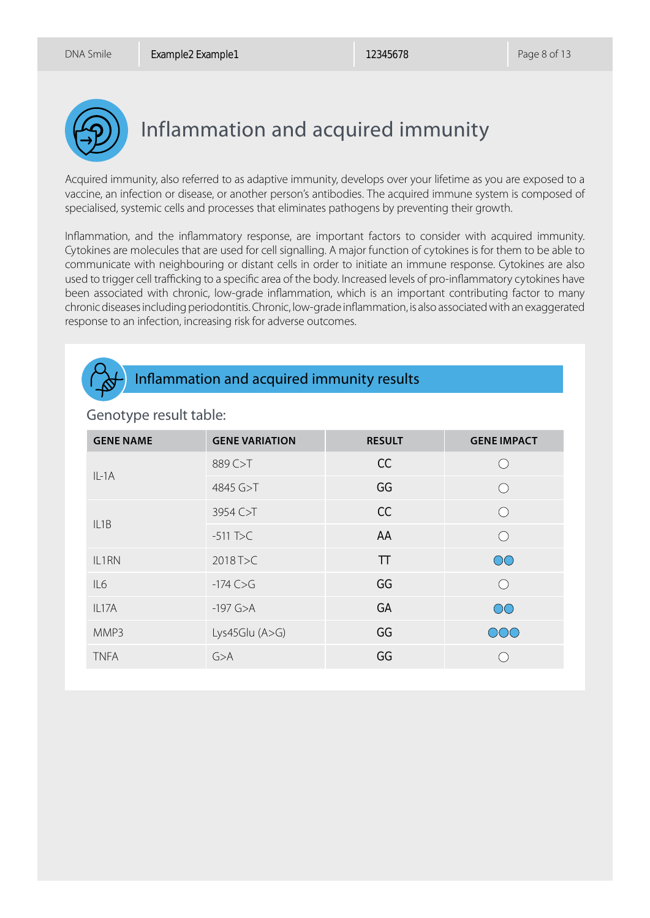

# Inflammation and acquired immunity

Acquired immunity, also referred to as adaptive immunity, develops over your lifetime as you are exposed to a vaccine, an infection or disease, or another person's antibodies. The acquired immune system is composed of specialised, systemic cells and processes that eliminates pathogens by preventing their growth.

Inflammation, and the inflammatory response, are important factors to consider with acquired immunity. Cytokines are molecules that are used for cell signalling. A major function of cytokines is for them to be able to communicate with neighbouring or distant cells in order to initiate an immune response. Cytokines are also used to trigger cell trafficking to a specific area of the body. Increased levels of pro-inflammatory cytokines have been associated with chronic, low-grade inflammation, which is an important contributing factor to many chronic diseases including periodontitis. Chronic, low-grade inflammation, is also associated with an exaggerated response to an infection, increasing risk for adverse outcomes.



#### Inflammation and acquired immunity results

| <b>GENE NAME</b> | <b>GENE VARIATION</b> | <b>RESULT</b> | <b>GENE IMPACT</b>                                  |
|------------------|-----------------------|---------------|-----------------------------------------------------|
| $IL-1A$          | 889 C>T               | CC            | $\left( \begin{array}{c} \cdot \end{array} \right)$ |
|                  | 4845 G>T              | GG            |                                                     |
| IL1B             | 3954 C>T              | CC            | $\bigcap$                                           |
|                  | $-511$ T $\!\Sigma$   | AA            | $\bigcap$                                           |
| IL1RN            | 2018 T>C              | TT            | $\overline{O}O$                                     |
| IL6              | $-174$ C $>$ G        | GG            | $\bigcap$                                           |
| IL17A            | $-197$ G $>A$         | GA            | $\circlearrowright$                                 |
| MMP3             | Lys45Glu $(A>G)$      | GG            | OOO                                                 |
| <b>TNFA</b>      | G>A                   | GG            |                                                     |

#### Genotype result table: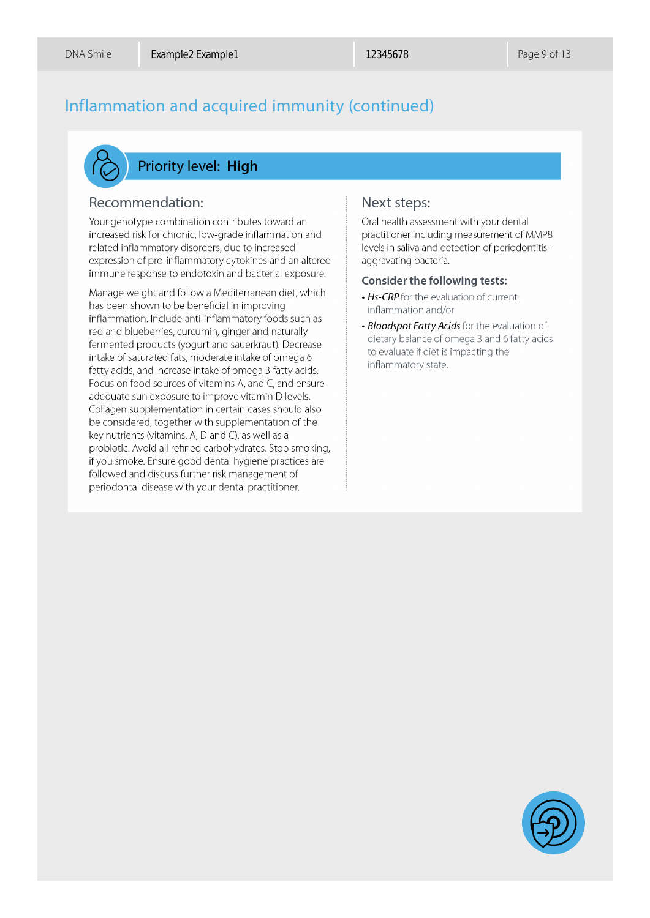### Inflammation and acquired immunity (continued)



#### **Priority level: High**

#### Recommendation:

Your genotype combination contributes toward an increased risk for chronic, low-grade inflammation and related inflammatory disorders, due to increased expression of pro-inflammatory cytokines and an altered immune response to endotoxin and bacterial exposure.

Manage weight and follow a Mediterranean diet, which has been shown to be beneficial in improving inflammation. Include anti-inflammatory foods such as red and blueberries, curcumin, ginger and naturally fermented products (yogurt and sauerkraut). Decrease intake of saturated fats, moderate intake of omega 6 fatty acids, and increase intake of omega 3 fatty acids. Focus on food sources of vitamins A, and C, and ensure adequate sun exposure to improve vitamin D levels. Collagen supplementation in certain cases should also be considered, together with supplementation of the key nutrients (vitamins, A, D and C), as well as a probiotic. Avoid all refined carbohydrates. Stop smoking, if you smoke. Ensure good dental hygiene practices are followed and discuss further risk management of periodontal disease with your dental practitioner.

#### Next steps:

Oral health assessment with your dental practitioner including measurement of MMP8 levels in saliva and detection of periodontitisaggravating bacteria.

#### **Consider the following tests:**

- Hs-CRP for the evaluation of current inflammation and/or
- Bloodspot Fatty Acids for the evaluation of dietary balance of omega 3 and 6 fatty acids to evaluate if diet is impacting the inflammatory state.

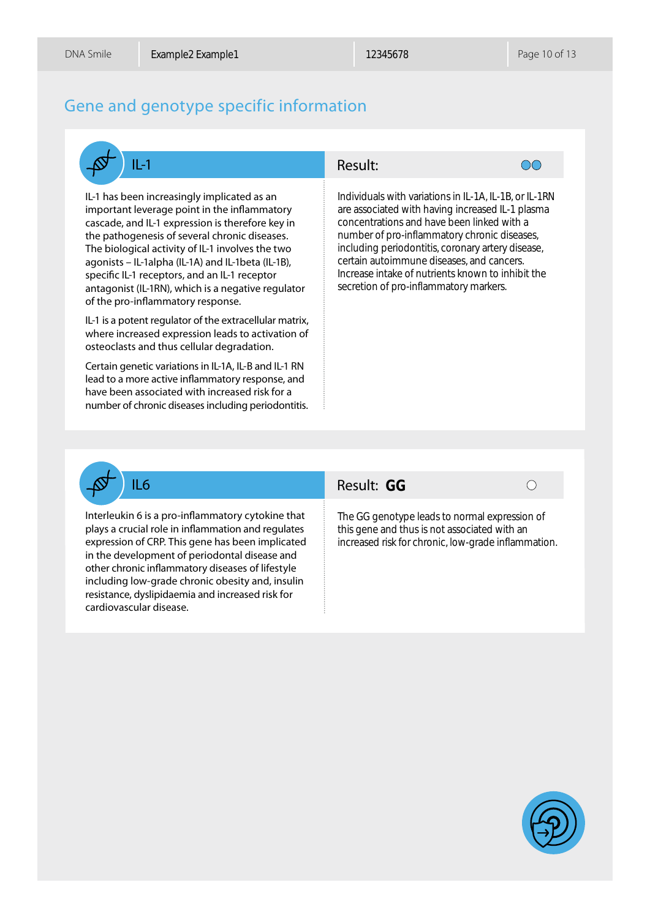#### Gene and genotype specific information



IL-1 has been increasingly implicated as an important leverage point in the inflammatory cascade, and IL-1 expression is therefore key in the pathogenesis of several chronic diseases. The biological activity of IL-1 involves the two agonists – IL-1alpha (IL-1A) and IL-1beta (IL-1B), specific IL-1 receptors, and an IL-1 receptor antagonist (IL-1RN), which is a negative regulator of the pro-inflammatory response.

IL-1 is a potent regulator of the extracellular matrix, where increased expression leads to activation of osteoclasts and thus cellular degradation.

Certain genetic variations in IL-1A, IL-B and IL-1 RN lead to a more active inflammatory response, and have been associated with increased risk for a number of chronic diseases including periodontitis.

#### Result:



Individuals with variations in IL-1A, IL-1B, or IL-1RN are associated with having increased IL-1 plasma concentrations and have been linked with a number of pro-inflammatory chronic diseases, including periodontitis, coronary artery disease, certain autoimmune diseases, and cancers. Increase intake of nutrients known to inhibit the secretion of pro-inflammatory markers.



#### **IL6 Result: GG**



Interleukin 6 is a pro-inflammatory cytokine that plays a crucial role in inflammation and regulates expression of CRP. This gene has been implicated in the development of periodontal disease and other chronic inflammatory diseases of lifestyle including low-grade chronic obesity and, insulin resistance, dyslipidaemia and increased risk for cardiovascular disease.

The GG genotype leads to normal expression of this gene and thus is not associated with an increased risk for chronic, low-grade inflammation.

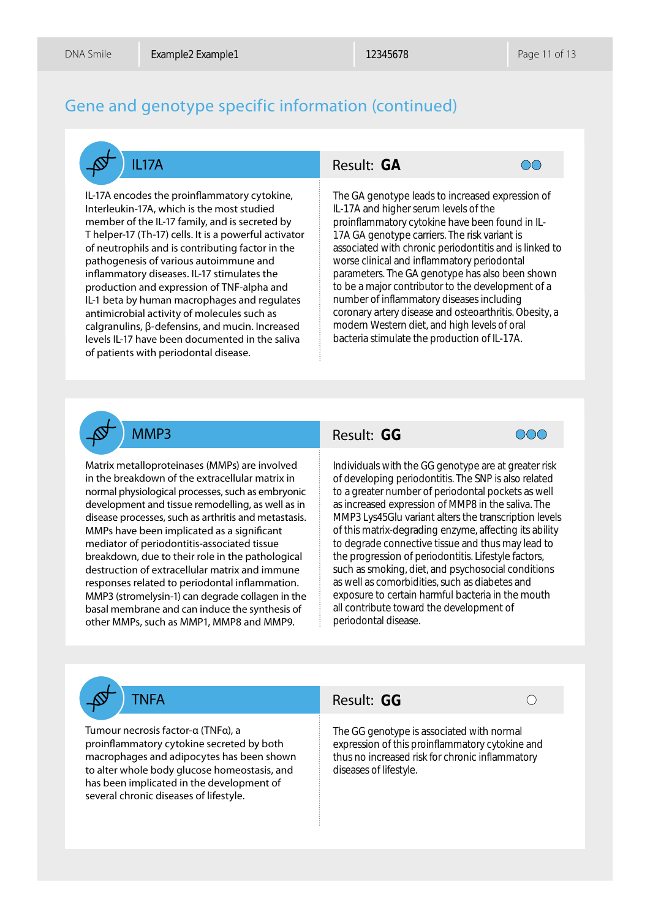#### Gene and genotype specific information (continued)



IL-17A encodes the proinflammatory cytokine, Interleukin-17A, which is the most studied member of the IL-17 family, and is secreted by T helper-17 (Th-17) cells. It is a powerful activator of neutrophils and is contributing factor in the pathogenesis of various autoimmune and inflammatory diseases. IL-17 stimulates the production and expression of TNF-alpha and IL-1 beta by human macrophages and regulates antimicrobial activity of molecules such as calgranulins, β-defensins, and mucin. Increased levels IL-17 have been documented in the saliva of patients with periodontal disease.

#### IL17A Result: GA



The GA genotype leads to increased expression of IL-17A and higher serum levels of the proinflammatory cytokine have been found in IL-17A GA genotype carriers. The risk variant is associated with chronic periodontitis and is linked to worse clinical and inflammatory periodontal parameters. The GA genotype has also been shown to be a major contributor to the development of a number of inflammatory diseases including coronary artery disease and osteoarthritis. Obesity, a modern Western diet, and high levels of oral bacteria stimulate the production of IL-17A.

Matrix metalloproteinases (MMPs) are involved in the breakdown of the extracellular matrix in normal physiological processes, such as embryonic development and tissue remodelling, as well as in disease processes, such as arthritis and metastasis. MMPs have been implicated as a significant mediator of periodontitis-associated tissue breakdown, due to their role in the pathological destruction of extracellular matrix and immune responses related to periodontal inflammation. MMP3 (stromelysin-1) can degrade collagen in the basal membrane and can induce the synthesis of other MMPs, such as MMP1, MMP8 and MMP9.

#### MMP3 Result: GG



**GA**<br>
noty<sub>i</sub> high<br>
nator motyith<br>
with cal at a. The condition<br>
is a section of the multiple rester<br>
with ing proton with<br>
is a condition<br>
of expansion<br>
of the top of the top of the top of the top of the top of the top of Individuals with the GG genotype are at greater risk of developing periodontitis. The SNP is also related to a greater number of periodontal pockets as well as increased expression of MMP8 in the saliva. The MMP3 Lys45Glu variant alters the transcription levels of this matrix-degrading enzyme, affecting its ability to degrade connective tissue and thus may lead to the progression of periodontitis. Lifestyle factors, such as smoking, diet, and psychosocial conditions as well as comorbidities, such as diabetes and exposure to certain harmful bacteria in the mouth all contribute toward the development of periodontal disease.

Tumour necrosis factor-α (TNFα), a proinflammatory cytokine secreted by both macrophages and adipocytes has been shown to alter whole body glucose homeostasis, and has been implicated in the development of several chronic diseases of lifestyle.

#### TNFA Result: GG

The GG genotype is associated with normal expression of this proinflammatory cytokine and thus no increased risk for chronic inflammatory diseases of lifestyle.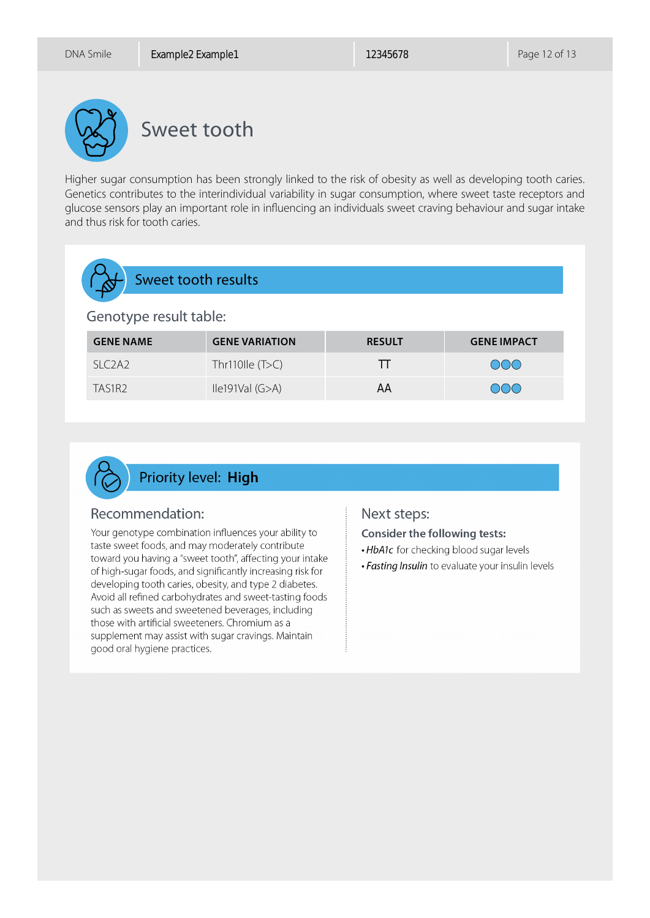

Sweet tooth

Higher sugar consumption has been strongly linked to the risk of obesity as well as developing tooth caries. Genetics contributes to the interindividual variability in sugar consumption, where sweet taste receptors and glucose sensors play an important role in influencing an individuals sweet craving behaviour and sugar intake and thus risk for tooth caries.

# Sweet tooth results Genotype result table:

| <b>GENE NAME</b> | <b>GENE VARIATION</b> | <b>RESULT</b> | <b>GENE IMPACT</b> |
|------------------|-----------------------|---------------|--------------------|
| SLC2A2           | Thr110lle $(T>C)$     |               | OOO                |
| TAS1R2           | lle191Val (G>A)       | AΑ            | $\bigcap\bigcap$   |



#### Recommendation:

Your genotype combination influences your ability to taste sweet foods, and may moderately contribute toward you having a "sweet tooth", affecting your intake of high-sugar foods, and significantly increasing risk for developing tooth caries, obesity, and type 2 diabetes. Avoid all refined carbohydrates and sweet-tasting foods such as sweets and sweetened beverages, including those with artificial sweeteners. Chromium as a supplement may assist with sugar cravings. Maintain good oral hygiene practices.

#### Next steps:

**Consider the following tests:** 

- . HbA1c for checking blood sugar levels
- . Fasting Insulin to evaluate your insulin levels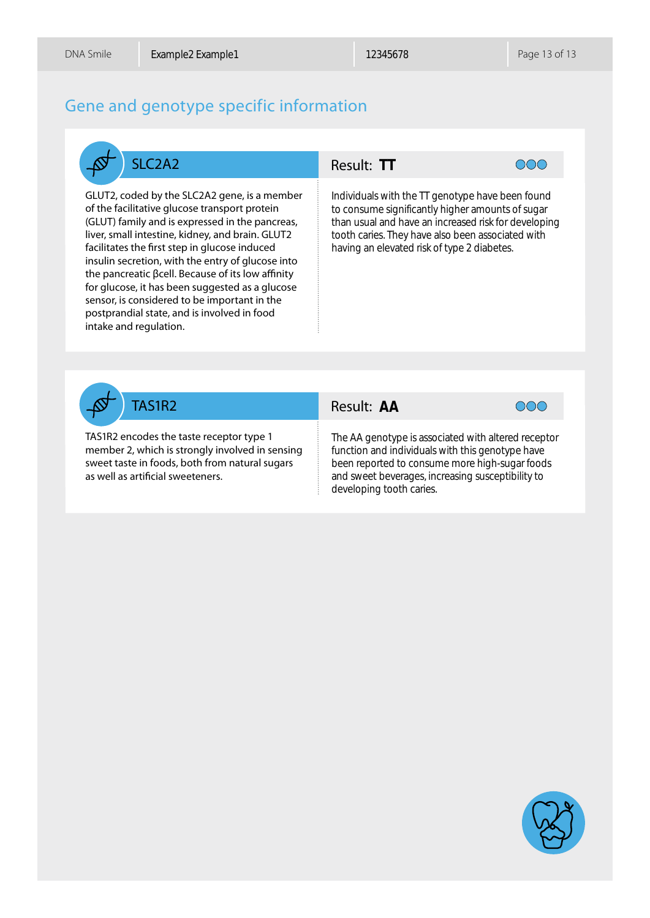### Gene and genotype specific information



GLUT2, coded by the SLC2A2 gene, is a member of the facilitative glucose transport protein (GLUT) family and is expressed in the pancreas, liver, small intestine, kidney, and brain. GLUT2 facilitates the first step in glucose induced insulin secretion, with the entry of glucose into the pancreatic βcell. Because of its low affinity for glucose, it has been suggested as a glucose sensor, is considered to be important in the postprandial state, and is involved in food intake and regulation.



**TT**<br>with<br>e sig<br>and<br>s. Th<br>blevz<br>**AA** Individuals with the TT genotype have been found to consume significantly higher amounts of sugar than usual and have an increased risk for developing tooth caries. They have also been associated with having an elevated risk of type 2 diabetes.



TAS1R2 encodes the taste receptor type 1 member 2, which is strongly involved in sensing sweet taste in foods, both from natural sugars as well as artificial sweeteners.

#### TAS1R2 Result: AA



The AA genotype is associated with altered receptor function and individuals with this genotype have been reported to consume more high-sugar foods and sweet beverages, increasing susceptibility to developing tooth caries.